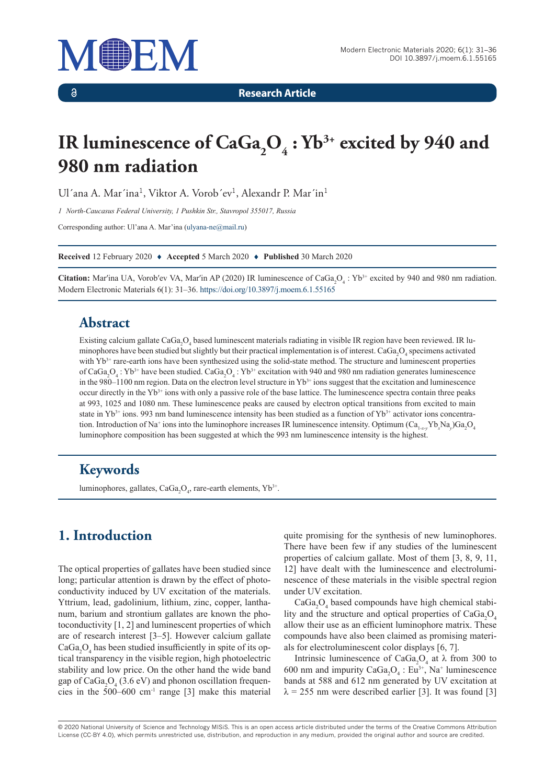

 $\delta$ 

**Research Article**

# IR luminescence of CaGa<sub>2</sub>O<sub>4</sub>: Yb<sup>3+</sup> excited by 940 and **980 nm radiation**

Ul'ana A. Mar'ina<sup>1</sup>, Viktor A. Vorob'ev<sup>1</sup>, Alexandr P. Mar'in<sup>1</sup>

*1 North-Caucasus Federal University, 1 Pushkin Str., Stavropol 355017, Russia*

Corresponding author: Ul'ana A. Mar'ina [\(ulyana-ne@mail.ru](mailto:ulyana-ne@mail.ru))

**Received** 12 February 2020 ♦ **Accepted** 5 March 2020 ♦ **Published** 30 March 2020

**Citation:** Mar'ina UA, Vorob'ev VA, Mar'in AP (2020) IR luminescence of CaGa<sub>2</sub>O<sub>4</sub>: Yb<sup>3+</sup> excited by 940 and 980 nm radiation. Modern Electronic Materials 6(1): 31–36. <https://doi.org/10.3897/j.moem.6.1.55165>

#### **Abstract**

Existing calcium gallate CaGa<sub>2</sub>O<sub>4</sub> based luminescent materials radiating in visible IR region have been reviewed. IR luminophores have been studied but slightly but their practical implementation is of interest.  $CaGa_2O_4$  specimens activated with Yb<sup>3+</sup> rare-earth ions have been synthesized using the solid-state method. The structure and luminescent properties of CaGa<sub>2</sub>O<sub>4</sub>: Yb<sup>3+</sup> have been studied. CaGa<sub>2</sub>O<sub>4</sub>: Yb<sup>3+</sup> excitation with 940 and 980 nm radiation generates luminescence in the 980–1100 nm region. Data on the electron level structure in  $Yb<sup>3+</sup>$  ions suggest that the excitation and luminescence occur directly in the  $Yb<sup>3+</sup>$  ions with only a passive role of the base lattice. The luminescence spectra contain three peaks at 993, 1025 and 1080 nm. These luminescence peaks are caused by electron optical transitions from excited to main state in  $Yb^{3+}$  ions. 993 nm band luminescence intensity has been studied as a function of  $Yb^{3+}$  activator ions concentration. Introduction of Na<sup>+</sup> ions into the luminophore increases IR luminescence intensity. Optimum (Ca<sub>1-*x*</sub>-*y*U<sub>x</sub>Na<sub>*y*</sub>)Ga<sub>2</sub>O<sub>4</sub> luminophore composition has been suggested at which the 993 nm luminescence intensity is the highest.

#### **Keywords**

luminophores, gallates,  $CaGa_2O_4$ , rare-earth elements,  $Yb^{3+}$ .

# **1. Introduction**

The optical properties of gallates have been studied since long; particular attention is drawn by the effect of photoconductivity induced by UV excitation of the materials. Yttrium, lead, gadolinium, lithium, zinc, copper, lanthanum, barium and strontium gallates are known the photoconductivity [1, 2] and luminescent properties of which are of research interest [3–5]. However calcium gallate  $CaGa<sub>2</sub>O<sub>4</sub>$  has been studied insufficiently in spite of its optical transparency in the visible region, high photoelectric stability and low price. On the other hand the wide band gap of  $\text{CaGa}_2\text{O}_4$  (3.6 eV) and phonon oscillation frequencies in the  $500-600$  cm<sup>-1</sup> range [3] make this material

quite promising for the synthesis of new luminophores. There have been few if any studies of the luminescent properties of calcium gallate. Most of them [3, 8, 9, 11, 12] have dealt with the luminescence and electroluminescence of these materials in the visible spectral region under UV excitation.

 $CaGa<sub>2</sub>O<sub>4</sub>$  based compounds have high chemical stability and the structure and optical properties of  $CaGa<sub>2</sub>O<sub>4</sub>$ allow their use as an efficient luminophore matrix. These compounds have also been claimed as promising materials for electroluminescent color displays [6, 7].

Intrinsic luminescence of CaGa<sub>2</sub>O<sub>4</sub> at  $\lambda$  from 300 to 600 nm and impurity  $CaGa<sub>2</sub>O<sub>4</sub>$ : Eu<sup>3+</sup>, Na<sup>+</sup> luminescence bands at 588 and 612 nm generated by UV excitation at  $\lambda = 255$  nm were described earlier [3]. It was found [3]

© 2020 National University of Science and Technology MISiS*.* This is an open access article distributed under the terms of the Creative Commons Attribution License (CC-BY 4.0), which permits unrestricted use, distribution, and reproduction in any medium, provided the original author and source are credited.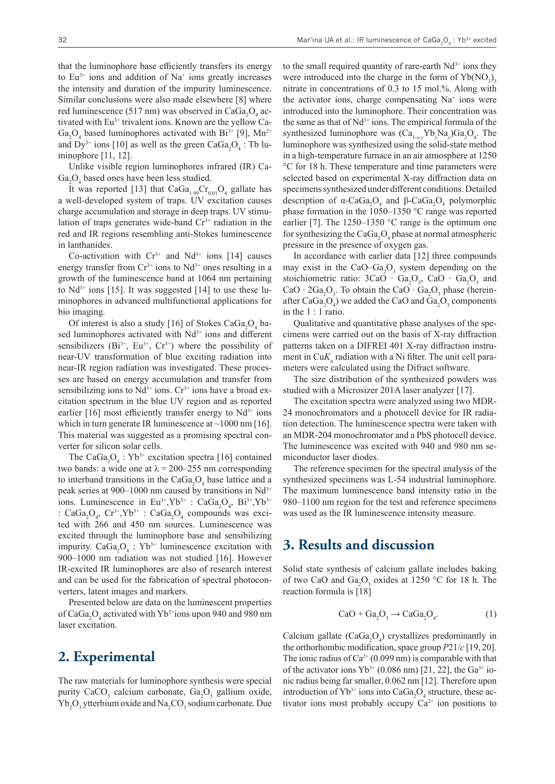that the luminophore base efficiently transfers its energy to  $Eu^{3+}$  ions and addition of Na<sup>+</sup> ions greatly increases the intensity and duration of the impurity luminescence. Similar conclusions were also made elsewhere [8] where red luminescence (517 nm) was observed in Ca $Ga_2O_4$  activated with Eu<sup>3+</sup> trivalent ions. Known are the yellow Ca- $Ga_2O_4$  based luminophores activated with Bi<sup>3+</sup> [9], Mn<sup>2+</sup> and  $Dy^{3+}$  ions [10] as well as the green  $CaGa_2O_4$ : Tb luminophore [11, 12].

Unlike visible region luminophores infrared (IR) Ca- $Ga<sub>2</sub>O<sub>4</sub>$  based ones have been less studied.

It was reported [13] that  $CaGa_{1.99}Cr_{0.01}O_4$  gallate has a well-developed system of traps. UV excitation causes charge accumulation and storage in deep traps. UV stimulation of traps generates wide-band  $Cr<sup>3+</sup>$  radiation in the red and IR regions resembling anti-Stokes luminescence in lanthanides.

Co-activation with  $Cr^{3+}$  and  $Nd^{3+}$  ions [14] causes energy transfer from  $Cr^{3+}$  ions to  $Nd^{3+}$  ones resulting in a growth of the luminescence band at 1064 nm pertaining to  $Nd^{3+}$  ions [15]. It was suggested [14] to use these luminophores in advanced multifunctional applications for bio imaging.

Of interest is also a study [16] of Stokes  $CaGa<sub>2</sub>O<sub>4</sub>$  based luminophores activated with  $Nd^{3+}$  ions and different sensibilizers  $(Bi^{3+}, Eu^{3+}, Cr^{3+})$  where the possibility of near-UV transformation of blue exciting radiation into near-IR region radiation was investigated. These processes are based on energy accumulation and transfer from sensibilizing ions to  $Nd^{3+}$  ions.  $Cr^{3+}$  ions have a broad excitation spectrum in the blue UV region and as reported earlier  $[16]$  most efficiently transfer energy to  $Nd^{3+}$  ions which in turn generate IR luminescence at  $\sim$  1000 nm [16]. This material was suggested as a promising spectral converter for silicon solar cells.

The CaGa<sub>2</sub>O<sub>4</sub>: Yb<sup>3+</sup> excitation spectra [16] contained two bands: a wide one at  $\lambda = 200-255$  nm corresponding to interband transitions in the Ca $Ga_2O_4$  base lattice and a peak series at 900–1000 nm caused by transitions in  $Nd^{3+}$ ions. Luminescence in  $Eu^{3+}$ ,  $Yb^{3+}$  : Ca $Ga_2O_4$ ,  $Bi^{3+}$ ,  $Yb^{3+}$ : CaGa<sub>2</sub>O<sub>4</sub>, Cr<sup>3+</sup>,Yb<sup>3+</sup> : CaGa<sub>2</sub>O<sub>4</sub> compounds was excited with 266 and 450 nm sources. Luminescence was excited through the luminophore base and sensibilizing impurity.  $CaGa<sub>2</sub>O<sub>4</sub>$ : Yb<sup>3+</sup> luminescence excitation with 900–1000 nm radiation was not studied [16]. However IR-excited IR luminophores are also of research interest and can be used for the fabrication of spectral photoconverters, latent images and markers.

Presented below are data on the luminescent properties of CaGa<sub>2</sub>O<sub>4</sub> activated with Yb<sup>3+</sup>ions upon 940 and 980 nm laser excitation.

## **2. Experimental**

The raw materials for luminophore synthesis were special purity CaCO<sub>3</sub> calcium carbonate, Ga<sub>2</sub>O<sub>3</sub> gallium oxide,  $Yb_2O_3$  ytterbium oxide and  $Na_2CO_3$  sodium carbonate. Due to the small required quantity of rare-earth  $Nd^{3+}$  ions they were introduced into the charge in the form of  $Yb(NO<sub>3</sub>)$ <sub>3</sub> nitrate in concentrations of 0.3 to 15 mol.%. Along with the activator ions, charge compensating Na<sup>+</sup> ions were introduced into the luminophore. Their concentration was the same as that of  $Nd^{3+}$  ions. The empirical formula of the synthesized luminophore was  $(Ca_{1-x}y b_x Na_y)Ga_2O_4$ . The luminophore was synthesized using the solid-state method in a high-temperature furnace in an air atmosphere at 1250 °C for 18 h. These temperature and time parameters were selected based on experimental X-ray diffraction data on specimens synthesized under different conditions. Detailed description of  $\alpha$ -CaGa<sub>2</sub>O<sub>4</sub> and  $\beta$ -CaGa<sub>2</sub>O<sub>4</sub> polymorphic phase formation in the 1050–1350 °C range was reported earlier [7]. The  $1250-1350$  °C range is the optimum one for synthesizing the  $\text{CaGa}_2\text{O}_4$  phase at normal atmospheric pressure in the presence of oxygen gas.

In accordance with earlier data [12] three compounds may exist in the CaO–Ga<sub>2</sub>O<sub>3</sub> system depending on the stoichiometric ratio:  $3CaO \cdot Ga<sub>2</sub>O<sub>3</sub>$ , Ca $O \cdot Ga<sub>2</sub>O<sub>3</sub>$  and CaO ⋅ 2Ga<sub>2</sub>O<sub>3</sub>. To obtain the CaO ⋅ Ga<sub>2</sub>O<sub>3</sub> phase (hereinafter CaGa<sub>2</sub>O<sub>4</sub>) we added the CaO and Ga<sub>2</sub>O<sub>3</sub> components in the 1 : 1 ratio.

Qualitative and quantitative phase analyses of the specimens were carried out on the basis of X-ray diffraction patterns taken on a DIFREI 401 X-ray diffraction instrument in Cu $K_{\alpha}$  radiation with a Ni filter. The unit cell parameters were calculated using the Difract software.

The size distribution of the synthesized powders was studied with a Microsizer 201A laser analyzer [17].

The excitation spectra were analyzed using two MDR-24 monochromators and a photocell device for IR radiation detection. The luminescence spectra were taken with an MDR-204 monochromator and a PbS photocell device. The luminescence was excited with 940 and 980 nm semiconductor laser diodes.

The reference specimen for the spectral analysis of the synthesized specimens was L-54 industrial luminophore. The maximum luminescence band intensity ratio in the 980–1100 nm region for the test and reference specimens was used as the IR luminescence intensity measure.

#### **3. Results and discussion**

Solid state synthesis of calcium gallate includes baking of two CaO and  $Ga_2O_3$  oxides at 1250 °C for 18 h. The reaction formula is [18]

$$
CaO + Ga2O3 \rightarrow CaGa2O4.
$$
 (1)

Calcium gallate  $(CaGa<sub>2</sub>O<sub>4</sub>)$  crystallizes predominantly in the orthorhombic modification, space group *P*21/*c* [19, 20]. The ionic radius of  $Ca^{2+}(0.099 \text{ nm})$  is comparable with that of the activator ions  $Yb^{3+}$  (0.086 nm) [21, 22], the Ga<sup>3+</sup> ionic radius being far smaller, 0.062 nm [12]. Therefore upon introduction of  $Yb^{3+}$  ions into CaGa<sub>2</sub>O<sub>4</sub> structure, these activator ions most probably occupy  $Ca^{2+}$  ion positions to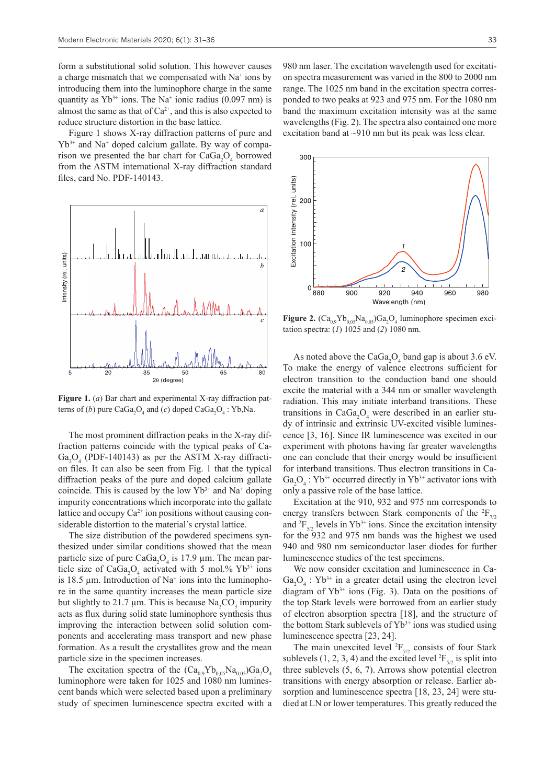form a substitutional solid solution. This however causes a charge mismatch that we compensated with Na<sup>+</sup> ions by introducing them into the luminophore charge in the same quantity as  $Yb^{3+}$  ions. The Na<sup>+</sup> ionic radius (0.097 nm) is almost the same as that of  $Ca^{2+}$ , and this is also expected to reduce structure distortion in the base lattice.

Figure 1 shows X-ray diffraction patterns of pure and Yb3+ and Na<sup>+</sup> doped calcium gallate. By way of comparison we presented the bar chart for  $CaGa<sub>2</sub>O<sub>4</sub>$  borrowed from the ASTM international X-ray diffraction standard files, card No. PDF-140143.



**Figure 1.** (*a*) Bar chart and experimental X-ray diffraction patterns of  $(b)$  pure CaGa<sub>2</sub>O<sub>4</sub> and  $(c)$  doped CaGa<sub>2</sub>O<sub>4</sub> : Yb,Na.

The most prominent diffraction peaks in the X-ray diffraction patterns coincide with the typical peaks of Ca- $Ga<sub>2</sub>O<sub>4</sub>$  (PDF-140143) as per the ASTM X-ray diffraction files. It can also be seen from Fig. 1 that the typical diffraction peaks of the pure and doped calcium gallate coincide. This is caused by the low  $Yb^{3+}$  and  $Na^{+}$  doping impurity concentrations which incorporate into the gallate lattice and occupy  $Ca^{2+}$  ion positions without causing considerable distortion to the material's crystal lattice.

The size distribution of the powdered specimens synthesized under similar conditions showed that the mean particle size of pure  $CaGa<sub>2</sub>O<sub>4</sub>$  is 17.9 µm. The mean particle size of CaGa<sub>2</sub>O<sub>4</sub> activated with 5 mol.%  $Yb^{3+}$  ions is 18.5  $\mu$ m. Introduction of Na<sup>+</sup> ions into the luminophore in the same quantity increases the mean particle size but slightly to 21.7  $\mu$ m. This is because Na<sub>2</sub>CO<sub>3</sub> impurity acts as flux during solid state luminophore synthesis thus improving the interaction between solid solution components and accelerating mass transport and new phase formation. As a result the crystallites grow and the mean particle size in the specimen increases.

The excitation spectra of the  $(Ca_{0.9}Yb_{0.05}Na_{0.05})Ga_2O_4$ luminophore were taken for 1025 and 1080 nm luminescent bands which were selected based upon a preliminary study of specimen luminescence spectra excited with a 980 nm laser. The excitation wavelength used for excitation spectra measurement was varied in the 800 to 2000 nm range. The 1025 nm band in the excitation spectra corresponded to two peaks at 923 and 975 nm. For the 1080 nm band the maximum excitation intensity was at the same wavelengths (Fig. 2). The spectra also contained one more excitation band at ~910 nm but its peak was less clear.



**Figure 2.**  $(Ca_{0.9}Yb_{0.05}Na_{0.05})Ga_2O_4$  luminophore specimen excitation spectra: (*1*) 1025 and (*2*) 1080 nm.

As noted above the  $CaGa<sub>2</sub>O<sub>4</sub>$  band gap is about 3.6 eV. To make the energy of valence electrons sufficient for electron transition to the conduction band one should excite the material with a 344 nm or smaller wavelength radiation. This may initiate interband transitions. These transitions in  $CaGa<sub>2</sub>O<sub>4</sub>$  were described in an earlier study of intrinsic and extrinsic UV-excited visible luminescence [3, 16]. Since IR luminescence was excited in our experiment with photons having far greater wavelengths one can conclude that their energy would be insufficient for interband transitions. Thus electron transitions in Ca- $Ga_2O_4$ : Yb<sup>3+</sup> occurred directly in Yb<sup>3+</sup> activator ions with only a passive role of the base lattice.

Excitation at the 910, 932 and 975 nm corresponds to energy transfers between Stark components of the  ${}^{2}F_{7/2}$ and  ${}^{2}F_{5/2}$  levels in Yb<sup>3+</sup> ions. Since the excitation intensity for the 932 and 975 nm bands was the highest we used 940 and 980 nm semiconductor laser diodes for further luminescence studies of the test specimens.

We now consider excitation and luminescence in Ca- $Ga_2O_4$ : Yb<sup>3+</sup> in a greater detail using the electron level diagram of  $Yb^{3+}$  ions (Fig. 3). Data on the positions of the top Stark levels were borrowed from an earlier study of electron absorption spectra [18], and the structure of the bottom Stark sublevels of  $Yb^{3+}$  ions was studied using luminescence spectra [23, 24].

The main unexcited level  ${}^{2}F_{7/2}$  consists of four Stark sublevels (1, 2, 3, 4) and the excited level  ${}^{2}F_{5/2}$  is split into three sublevels (5, 6, 7). Arrows show potential electron transitions with energy absorption or release. Earlier absorption and luminescence spectra [18, 23, 24] were studied at LN or lower temperatures. This greatly reduced the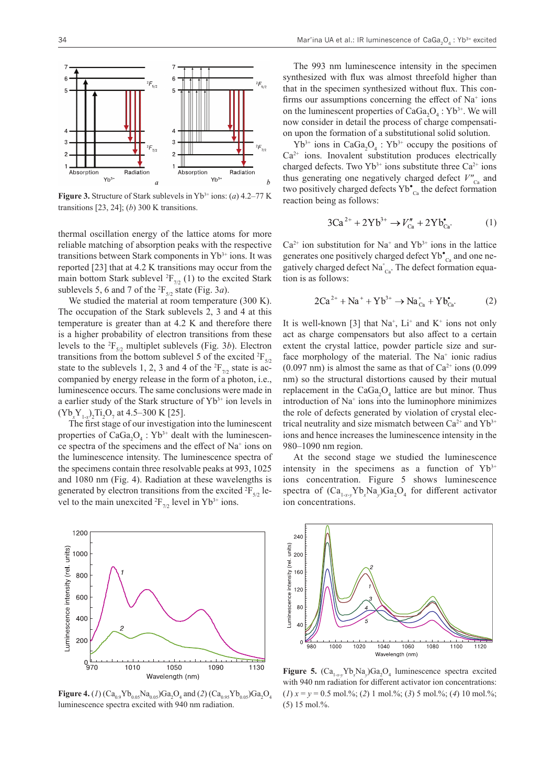

**Figure 3.** Structure of Stark sublevels in Yb3+ ions: (*a*) 4.2–77 K transitions [23, 24]; (*b*) 300 K transitions.

thermal oscillation energy of the lattice atoms for more reliable matching of absorption peaks with the respective transitions between Stark components in  $Yb^{3+}$  ions. It was reported [23] that at 4.2 K transitions may occur from the main bottom Stark sublevel  ${}^{2}F_{7/2}$  (1) to the excited Stark sublevels 5, 6 and 7 of the  ${}^{2}F_{5/2}$  state (Fig. 3*a*).

We studied the material at room temperature (300 K). The occupation of the Stark sublevels 2, 3 and 4 at this temperature is greater than at 4.2 K and therefore there is a higher probability of electron transitions from these levels to the  ${}^{2}F_{5/2}$  multiplet sublevels (Fig. 3*b*). Electron transitions from the bottom sublevel 5 of the excited  ${}^{2}F_{5/2}$ state to the sublevels 1, 2, 3 and 4 of the  ${}^{2}F_{7/2}$  state is accompanied by energy release in the form of a photon, i.e., luminescence occurs. The same conclusions were made in a earlier study of the Stark structure of Yb<sup>3+</sup> ion levels in  $(Yb_x Y_{1-x})_2$ Ti<sub>2</sub>O<sub>7</sub> at 4.5–300 K [25].

The first stage of our investigation into the luminescent properties of  $CaGa<sub>2</sub>O<sub>4</sub>$ : Yb<sup>3+</sup> dealt with the luminescence spectra of the specimens and the effect of Na<sup>+</sup> ions on the luminescence intensity. The luminescence spectra of the specimens contain three resolvable peaks at 993, 1025 and 1080 nm (Fig. 4). Radiation at these wavelengths is generated by electron transitions from the excited  ${}^{2}F_{5/2}$  level to the main unexcited <sup>2</sup> $F_{7/2}$  level in Yb<sup>3+</sup> ions.



**Figure 4.** (*1*)  $(Ca_{0.9}Yb_{0.05}Na_{0.05})Ga_2O_4$  and (*2*)  $(Ca_{0.95}Yb_{0.05})Ga_2O_4$ luminescence spectra excited with 940 nm radiation.

The 993 nm luminescence intensity in the specimen synthesized with flux was almost threefold higher than that in the specimen synthesized without flux. This confirms our assumptions concerning the effect of  $Na<sup>+</sup>$  ions on the luminescent properties of  $CaGa_2O_4$ : Yb<sup>3+</sup>. We will now consider in detail the process of charge compensation upon the formation of a substitutional solid solution.

 $Yb^{3+}$  ions in CaGa<sub>2</sub>O<sub>4</sub>:  $Yb^{3+}$  occupy the positions of Ca<sup>2+</sup> ions. Inovalent substitution produces electrically charged defects. Two  $Yb^{3+}$  ions substitute three Ca<sup>2+</sup> ions thus generating one negatively charged defect  $V''_{C<sub>a</sub>}$  and two positively charged defects  $Yb^{\bullet}_{c}$  the defect formation reaction being as follows:

$$
3Ca^{2+} + 2Yb^{3+} \to V''_{Ca} + 2Yb^{\bullet}_{Ca}.
$$
 (1)

 $Ca<sup>2+</sup>$  ion substitution for Na<sup>+</sup> and Yb<sup>3+</sup> ions in the lattice generates one positively charged defect  $Yb^{\bullet}_{C^a}$  and one negatively charged defect  $\text{Na}^{\circ}_{\text{Ca}}$ . The defect formation equation is as follows:

$$
2Ca^{2+} + Na^{+} + Yb^{3+} \to Na_{Ca}^{\circ} + Yb_{Ca}^{\bullet}.
$$
 (2)

It is well-known [3] that  $Na^+$ ,  $Li^+$  and  $K^+$  ions not only act as charge compensators but also affect to a certain extent the crystal lattice, powder particle size and surface morphology of the material. The  $Na<sup>+</sup>$  ionic radius  $(0.097 \text{ nm})$  is almost the same as that of Ca<sup>2+</sup> ions  $(0.099 \text{ nm})$ nm) so the structural distortions caused by their mutual replacement in the  $CaGa<sub>2</sub>O<sub>4</sub>$  lattice are but minor. Thus introduction of Na<sup>+</sup> ions into the luminophore minimizes the role of defects generated by violation of crystal electrical neutrality and size mismatch between  $Ca^{2+}$  and  $Yb^{3+}$ ions and hence increases the luminescence intensity in the 980–1090 nm region.

At the second stage we studied the luminescence intensity in the specimens as a function of  $Yb^{3+}$ ions concentration. Figure 5 shows luminescence spectra of  $(Ca_{1-x}y^bN_a)Ga_2O_4$  for different activator ion concentrations.



**Figure 5.**  $(Ca_{1-x-y}Yb_xNa_y)Ga_2O_4$  luminescence spectra excited with 940 nm radiation for different activator ion concentrations:  $(1)$   $x = y = 0.5$  mol.%; (2) 1 mol.%; (3) 5 mol.%; (4) 10 mol.%; (5) 15 mol.%.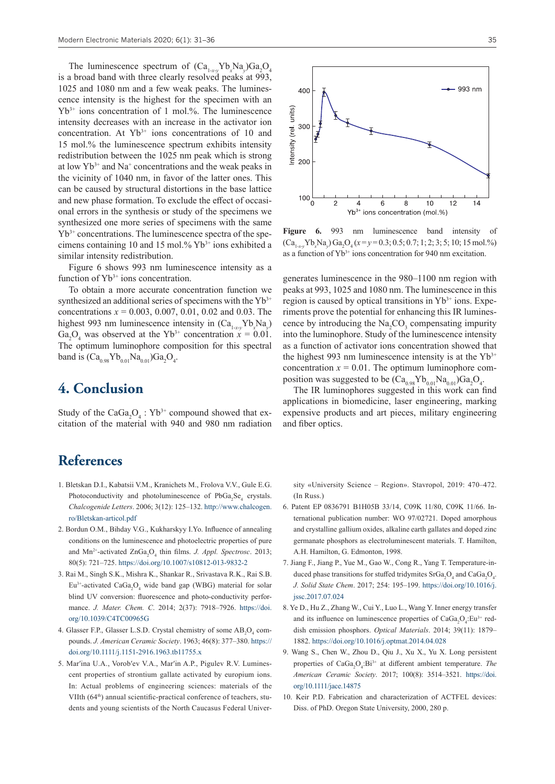The luminescence spectrum of  $(Ca_{1-x-y}V^bN_a_{y})Ga_2O_4$ is a broad band with three clearly resolved peaks at 993, 1025 and 1080 nm and a few weak peaks. The luminescence intensity is the highest for the specimen with an Yb3+ ions concentration of 1 mol.%. The luminescence intensity decreases with an increase in the activator ion concentration. At  $Yb^{3+}$  ions concentrations of 10 and 15 mol.% the luminescence spectrum exhibits intensity redistribution between the 1025 nm peak which is strong at low  $Yb^{3+}$  and Na<sup>+</sup> concentrations and the weak peaks in the vicinity of 1040 nm, in favor of the latter ones. This can be caused by structural distortions in the base lattice and new phase formation. To exclude the effect of occasional errors in the synthesis or study of the specimens we synthesized one more series of specimens with the same  $Yb^{3+}$  concentrations. The luminescence spectra of the specimens containing 10 and 15 mol.%  $Yb^{3+}$  ions exhibited a similar intensity redistribution.

Figure 6 shows 993 nm luminescence intensity as a function of  $Yb^{3+}$  ions concentration.

To obtain a more accurate concentration function we synthesized an additional series of specimens with the  $Yb^{3+}$ concentrations *x* = 0.003, 0.007, 0.01, 0.02 and 0.03. The highest 993 nm luminescence intensity in  $(Ca_{1-x}^{\prime}y^{\prime}b_{x}^{\prime}Na_{y})$ Ga<sub>2</sub>O<sub>4</sub> was observed at the Yb<sup>3+</sup> concentration  $x = 0.01$ . The optimum luminophore composition for this spectral band is  $(Ca_{0.98}Yb_{0.01}Na_{0.01})Ga_2O_4$ .

### **4. Conclusion**

Study of the  $CaGa<sub>2</sub>O<sub>4</sub>$ : Yb<sup>3+</sup> compound showed that excitation of the material with 940 and 980 nm radiation

# **References**

- 1. Bletskan D.I., Kabatsii V.M., Kranichets M., Frolova V.V., Gule E.G. Photoconductivity and photoluminescence of  $PbGa_2Se_4$  crystals. *Chalcogenide Letters*. 2006; 3(12): 125–132. [http://www.chalcogen.](http://www.chalcogen.ro/Bletskan-articol.pdf) [ro/Bletskan-articol.pdf](http://www.chalcogen.ro/Bletskan-articol.pdf)
- 2. Bordun O.M., Bihday V.G., Kukharskyy I.Yo. Influence of annealing conditions on the luminescence and photoelectric properties of pure and Mn<sup>2+</sup>-activated ZnGa<sub>2</sub>O<sub>4</sub> thin films. *J. Appl. Spectrosc.* 2013; 80(5): 721–725.<https://doi.org/10.1007/s10812-013-9832-2>
- 3. Rai M., Singh S.K., Mishra K., Shankar R., Srivastava R.K., Rai S.B.  $Eu^{3+}$ -activated Ca $Ga_2O_4$  wide band gap (WBG) material for solar blind UV conversion: fluorescence and photo-conductivity performance. *J. Mater. Chem. C*. 2014; 2(37): 7918–7926. [https://doi.](https://doi.org/10.1039/C4TC00965G) [org/10.1039/C4TC00965G](https://doi.org/10.1039/C4TC00965G)
- 4. Glasser F.P., Glasser L.S.D. Crystal chemistry of some  $AB_2O_4$  compounds. *J. American Ceramic Society*. 1963; 46(8): 377–380. [https://](https://doi.org/10.1111/j.1151-2916.1963.tb11755.x) [doi.org/10.1111/j.1151-2916.1963.tb11755.x](https://doi.org/10.1111/j.1151-2916.1963.tb11755.x)
- 5. Mar'ina U.A., Vorob'ev V.A., Mar'in A.P., Pigulev R.V. Luminescent properties of strontium gallate activated by europium ions. In: Actual problems of engineering sciences: materials of the VIIth (64<sup>th</sup>) annual scientific-practical conference of teachers, students and young scientists of the North Caucasus Federal Univer-



**Figure 6.** 993 nm luminescence band intensity of  $(Ca<sub>1-x-y</sub>Yb<sub>x</sub>Na<sub>y</sub>) Ga<sub>2</sub>O<sub>4</sub>(x=y=0.3; 0.5; 0.7; 1; 2; 3; 5; 10; 15 mol.%)$ as a function of  $Yb^{3+}$  ions concentration for 940 nm excitation.

generates luminescence in the 980–1100 nm region with peaks at 993, 1025 and 1080 nm. The luminescence in this region is caused by optical transitions in  $Yb^{3+}$  ions. Experiments prove the potential for enhancing this IR luminescence by introducing the  $\text{Na}_2\text{CO}_3$  compensating impurity into the luminophore. Study of the luminescence intensity as a function of activator ions concentration showed that the highest 993 nm luminescence intensity is at the  $Yb^{3+}$ concentration  $x = 0.01$ . The optimum luminophore composition was suggested to be  $(\text{Ca}_{0.98}\text{Yb}_{0.01}\text{Na}_{0.01})\text{Ga}_2\text{O}_4$ .

The IR luminophores suggested in this work can find applications in biomedicine, laser engineering, marking expensive products and art pieces, military engineering and fiber optics.

sity «University Science – Region». Stavropol, 2019: 470–472. (In Russ.)

- 6. Patent EP 0836791 B1H05B 33/14, C09K 11/80, C09K 11/66. International publication number: WO 97/02721. Doped amorphous and crystalline gallium oxides, alkaline earth gallates and doped zinc germanate phosphors as electroluminescent materials. T. Hamilton, A.H. Hamilton, G. Edmonton, 1998.
- 7. Jiang F., Jiang P., Yue M., Gao W., Cong R., Yang T. Temperature-induced phase transitions for stuffed tridymites  $SrGa<sub>2</sub>O<sub>4</sub>$  and  $CaGa<sub>2</sub>O<sub>4</sub>$ . *J. Solid State Chem*. 2017; 254: 195–199. [https://doi.org/10.1016/j.](https://doi.org/10.1016/j.jssc.2017.07.024) [jssc.2017.07.024](https://doi.org/10.1016/j.jssc.2017.07.024)
- 8. Ye D., Hu Z., Zhang W., Cui Y., Luo L., Wang Y. Inner energy transfer and its influence on luminescence properties of  $CaGa<sub>2</sub>O<sub>4</sub>:Eu<sup>3+</sup>$  reddish emission phosphors. *Optical Materials*. 2014; 39(11): 1879– 1882. <https://doi.org/10.1016/j.optmat.2014.04.028>
- 9. Wang S., Chen W., Zhou D., Qiu J., Xu X., Yu X. Long persistent properties of CaGa<sub>2</sub>O<sub>4</sub>:Bi<sup>3+</sup> at different ambient temperature. *The American Ceramic Society*. 2017; 100(8): 3514–3521. [https://doi.](https://doi.org/10.1111/jace.14875) [org/10.1111/jace.14875](https://doi.org/10.1111/jace.14875)
- 10. Keir P.D. Fabrication and characterization of ACTFEL devices: Diss. of PhD. Oregon State University, 2000, 280 p.